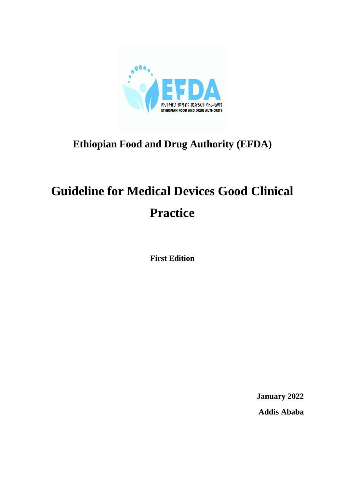

# **Ethiopian Food and Drug Authority (EFDA)**

# **Guideline for Medical Devices Good Clinical Practice**

**First Edition**

**January 2022 Addis Ababa**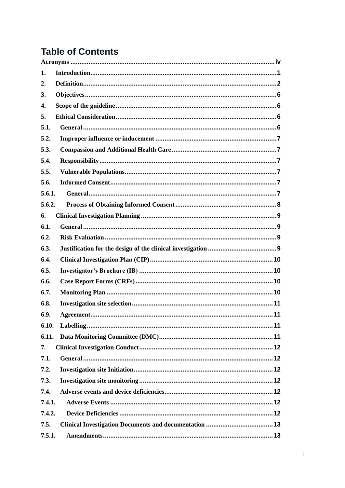# **Table of Contents**

| 1.     |  |  |  |
|--------|--|--|--|
| 2.     |  |  |  |
| 3.     |  |  |  |
| 4.     |  |  |  |
| 5.     |  |  |  |
| 5.1.   |  |  |  |
| 5.2.   |  |  |  |
| 5.3.   |  |  |  |
| 5.4.   |  |  |  |
| 5.5.   |  |  |  |
| 5.6.   |  |  |  |
| 5.6.1. |  |  |  |
| 5.6.2. |  |  |  |
| 6.     |  |  |  |
| 6.1.   |  |  |  |
| 6.2.   |  |  |  |
| 6.3.   |  |  |  |
| 6.4.   |  |  |  |
| 6.5.   |  |  |  |
| 6.6.   |  |  |  |
| 6.7.   |  |  |  |
| 6.8.   |  |  |  |
| 6.9.   |  |  |  |
| 6.10.  |  |  |  |
| 6.11.  |  |  |  |
| 7.     |  |  |  |
| 7.1.   |  |  |  |
| 7.2.   |  |  |  |
| 7.3.   |  |  |  |
| 7.4.   |  |  |  |
| 7.4.1. |  |  |  |
| 7.4.2. |  |  |  |
| 7.5.   |  |  |  |
| 7.5.1. |  |  |  |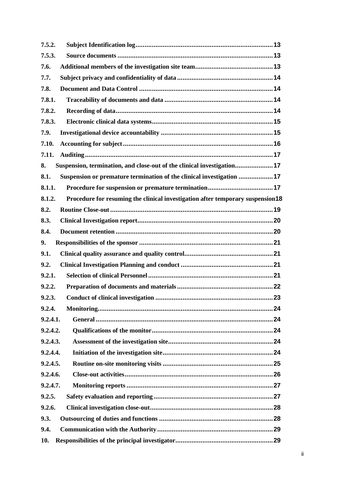| 7.5.2.                                                                                   |  |
|------------------------------------------------------------------------------------------|--|
| 7.5.3.                                                                                   |  |
| 7.6.                                                                                     |  |
| 7.7.                                                                                     |  |
| 7.8.                                                                                     |  |
| 7.8.1.                                                                                   |  |
| 7.8.2.                                                                                   |  |
| 7.8.3.                                                                                   |  |
| 7.9.                                                                                     |  |
| 7.10.                                                                                    |  |
| 7.11.                                                                                    |  |
| Suspension, termination, and close-out of the clinical investigation 17<br>8.            |  |
| Suspension or premature termination of the clinical investigation 17<br>8.1.             |  |
| 8.1.1.                                                                                   |  |
| 8.1.2.<br>Procedure for resuming the clinical investigation after temporary suspension18 |  |
| 8.2.                                                                                     |  |
| 8.3.                                                                                     |  |
| 8.4.                                                                                     |  |
| 9.                                                                                       |  |
| 9.1.                                                                                     |  |
| 9.2.                                                                                     |  |
| 9.2.1.                                                                                   |  |
| 9.2.2.                                                                                   |  |
| 9.2.3.                                                                                   |  |
| 9.2.4.                                                                                   |  |
| 9.2.4.1.                                                                                 |  |
| 9.2.4.2.                                                                                 |  |
| 9.2.4.3.                                                                                 |  |
| 9.2.4.4.                                                                                 |  |
| 9.2.4.5.                                                                                 |  |
| 9.2.4.6.                                                                                 |  |
| 9.2.4.7.                                                                                 |  |
| 9.2.5.                                                                                   |  |
| 9.2.6.                                                                                   |  |
| 9.3.                                                                                     |  |
| 9.4.                                                                                     |  |
| 10.                                                                                      |  |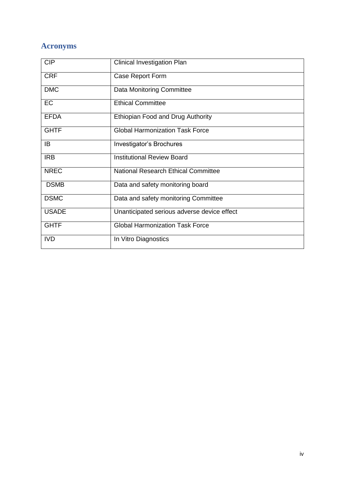# <span id="page-4-0"></span>**Acronyms**

| <b>CIP</b>   | <b>Clinical Investigation Plan</b>          |
|--------------|---------------------------------------------|
| <b>CRF</b>   | Case Report Form                            |
| <b>DMC</b>   | <b>Data Monitoring Committee</b>            |
| EC           | <b>Ethical Committee</b>                    |
| <b>EFDA</b>  | Ethiopian Food and Drug Authority           |
| <b>GHTF</b>  | <b>Global Harmonization Task Force</b>      |
| IB           | Investigator's Brochures                    |
| <b>IRB</b>   | <b>Institutional Review Board</b>           |
| <b>NREC</b>  | <b>National Research Ethical Committee</b>  |
| <b>DSMB</b>  | Data and safety monitoring board            |
| <b>DSMC</b>  | Data and safety monitoring Committee        |
| <b>USADE</b> | Unanticipated serious adverse device effect |
| <b>GHTF</b>  | <b>Global Harmonization Task Force</b>      |
| <b>IVD</b>   | In Vitro Diagnostics                        |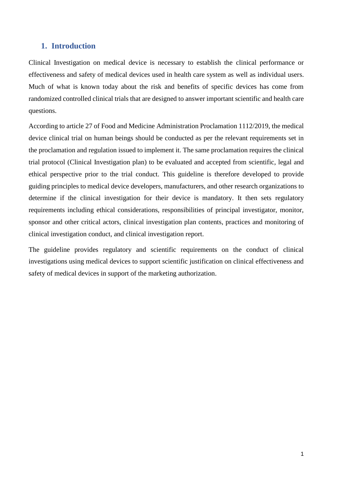# <span id="page-5-0"></span>**1. Introduction**

Clinical Investigation on medical device is necessary to establish the clinical performance or effectiveness and safety of medical devices used in health care system as well as individual users. Much of what is known today about the risk and benefits of specific devices has come from randomized controlled clinical trials that are designed to answer important scientific and health care questions.

According to article 27 of Food and Medicine Administration Proclamation 1112/2019, the medical device clinical trial on human beings should be conducted as per the relevant requirements set in the proclamation and regulation issued to implement it. The same proclamation requires the clinical trial protocol (Clinical Investigation plan) to be evaluated and accepted from scientific, legal and ethical perspective prior to the trial conduct. This guideline is therefore developed to provide guiding principles to medical device developers, manufacturers, and other research organizations to determine if the clinical investigation for their device is mandatory. It then sets regulatory requirements including ethical considerations, responsibilities of principal investigator, monitor, sponsor and other critical actors, clinical investigation plan contents, practices and monitoring of clinical investigation conduct, and clinical investigation report.

The guideline provides regulatory and scientific requirements on the conduct of clinical investigations using medical devices to support scientific justification on clinical effectiveness and safety of medical devices in support of the marketing authorization.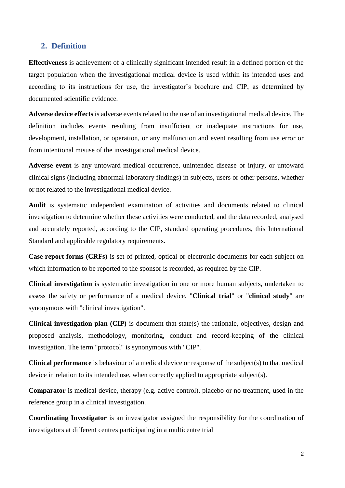#### <span id="page-6-0"></span>**2. Definition**

**Effectiveness** is achievement of a clinically significant intended result in a defined portion of the target population when the investigational medical device is used within its intended uses and according to its instructions for use, the investigator's brochure and CIP, as determined by documented scientific evidence.

**Adverse device effects** is adverse events related to the use of an investigational medical device. The definition includes events resulting from insufficient or inadequate instructions for use, development, installation, or operation, or any malfunction and event resulting from use error or from intentional misuse of the investigational medical device.

**Adverse event** is any untoward medical occurrence, unintended disease or injury, or untoward clinical signs (including abnormal laboratory findings) in subjects, users or other persons, whether or not related to the investigational medical device.

**Audit** is systematic independent examination of activities and documents related to clinical investigation to determine whether these activities were conducted, and the data recorded, analysed and accurately reported, according to the CIP, standard operating procedures, this International Standard and applicable regulatory requirements.

**Case report forms (CRFs)** is set of printed, optical or electronic documents for each subject on which information to be reported to the sponsor is recorded, as required by the CIP.

**Clinical investigation** is systematic investigation in one or more human subjects, undertaken to assess the safety or performance of a medical device. "**Clinical trial**" or "**clinical study**" are synonymous with "clinical investigation".

**Clinical investigation plan (CIP)** is document that state(s) the rationale, objectives, design and proposed analysis, methodology, monitoring, conduct and record-keeping of the clinical investigation. The term "protocol" is synonymous with "CIP".

**Clinical performance** is behaviour of a medical device or response of the subject(s) to that medical device in relation to its intended use, when correctly applied to appropriate subject(s).

**Comparator** is medical device, therapy (e.g. active control), placebo or no treatment, used in the reference group in a clinical investigation.

**Coordinating Investigator** is an investigator assigned the responsibility for the coordination of investigators at different centres participating in a multicentre trial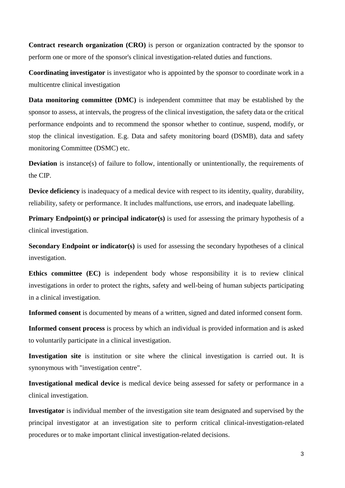**Contract research organization (CRO)** is person or organization contracted by the sponsor to perform one or more of the sponsor's clinical investigation-related duties and functions.

**Coordinating investigator** is investigator who is appointed by the sponsor to coordinate work in a multicentre clinical investigation

**Data monitoring committee (DMC)** is independent committee that may be established by the sponsor to assess, at intervals, the progress of the clinical investigation, the safety data or the critical performance endpoints and to recommend the sponsor whether to continue, suspend, modify, or stop the clinical investigation. E.g. Data and safety monitoring board (DSMB), data and safety monitoring Committee (DSMC) etc.

**Deviation** is instance(s) of failure to follow, intentionally or unintentionally, the requirements of the CIP.

**Device deficiency** is inadequacy of a medical device with respect to its identity, quality, durability, reliability, safety or performance. It includes malfunctions, use errors, and inadequate labelling.

**Primary Endpoint(s) or principal indicator(s)** is used for assessing the primary hypothesis of a clinical investigation.

**Secondary Endpoint or indicator(s)** is used for assessing the secondary hypotheses of a clinical investigation.

**Ethics committee (EC)** is independent body whose responsibility it is to review clinical investigations in order to protect the rights, safety and well-being of human subjects participating in a clinical investigation.

**Informed consent** is documented by means of a written, signed and dated informed consent form.

**Informed consent process** is process by which an individual is provided information and is asked to voluntarily participate in a clinical investigation.

**Investigation site** is institution or site where the clinical investigation is carried out. It is synonymous with "investigation centre".

**Investigational medical device** is medical device being assessed for safety or performance in a clinical investigation.

**Investigator** is individual member of the investigation site team designated and supervised by the principal investigator at an investigation site to perform critical clinical-investigation-related procedures or to make important clinical investigation-related decisions.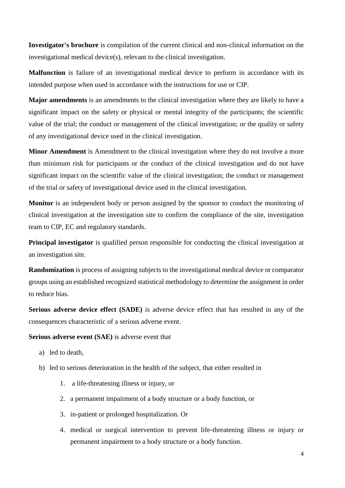**Investigator's brochure** is compilation of the current clinical and non-clinical information on the investigational medical device(s), relevant to the clinical investigation.

**Malfunction** is failure of an investigational medical device to perform in accordance with its intended purpose when used in accordance with the instructions for use or CIP.

**Major amendments** is an amendments to the clinical investigation where they are likely to have a significant impact on the safety or physical or mental integrity of the participants; the scientific value of the trial; the conduct or management of the clinical investigation; or the quality or safety of any investigational device used in the clinical investigation.

**Minor Amendment** is Amendment to the clinical investigation where they do not involve a more than minimum risk for participants or the conduct of the clinical investigation and do not have significant impact on the scientific value of the clinical investigation; the conduct or management of the trial or safety of investigational device used in the clinical investigation.

**Monitor** is an independent body or person assigned by the sponsor to conduct the monitoring of clinical investigation at the investigation site to confirm the compliance of the site, investigation team to CIP, EC and regulatory standards.

**Principal investigator** is qualified person responsible for conducting the clinical investigation at an investigation site.

**Randomization** is process of assigning subjects to the investigational medical device or comparator groups using an established recognized statistical methodology to determine the assignment in order to reduce bias.

**Serious adverse device effect (SADE)** is adverse device effect that has resulted in any of the consequences characteristic of a serious adverse event.

#### **Serious adverse event (SAE)** is adverse event that

- a) led to death,
- b) led to serious deterioration in the health of the subject, that either resulted in
	- 1. a life-threatening illness or injury, or
	- 2. a permanent impairment of a body structure or a body function, or
	- 3. in-patient or prolonged hospitalization. Or
	- 4. medical or surgical intervention to prevent life-threatening illness or injury or permanent impairment to a body structure or a body function.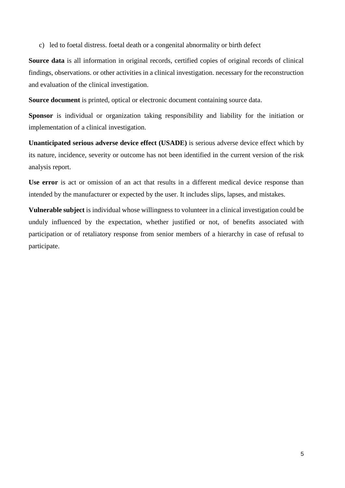c) led to foetal distress. foetal death or a congenital abnormality or birth defect

**Source data** is all information in original records, certified copies of original records of clinical findings, observations. or other activities in a clinical investigation. necessary for the reconstruction and evaluation of the clinical investigation.

**Source document** is printed, optical or electronic document containing source data.

**Sponsor** is individual or organization taking responsibility and liability for the initiation or implementation of a clinical investigation.

**Unanticipated serious adverse device effect (USADE)** is serious adverse device effect which by its nature, incidence, severity or outcome has not been identified in the current version of the risk analysis report.

**Use error** is act or omission of an act that results in a different medical device response than intended by the manufacturer or expected by the user. It includes slips, lapses, and mistakes.

**Vulnerable subject** is individual whose willingness to volunteer in a clinical investigation could be unduly influenced by the expectation, whether justified or not, of benefits associated with participation or of retaliatory response from senior members of a hierarchy in case of refusal to participate.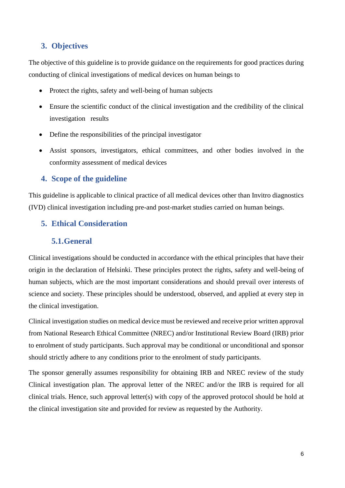# <span id="page-10-0"></span>**3. Objectives**

The objective of this guideline is to provide guidance on the requirements for good practices during conducting of clinical investigations of medical devices on human beings to

- Protect the rights, safety and well-being of human subjects
- Ensure the scientific conduct of the clinical investigation and the credibility of the clinical investigation results
- Define the responsibilities of the principal investigator
- Assist sponsors, investigators, ethical committees, and other bodies involved in the conformity assessment of medical devices

# <span id="page-10-1"></span>**4. Scope of the guideline**

This guideline is applicable to clinical practice of all medical devices other than Invitro diagnostics (IVD) clinical investigation including pre-and post-market studies carried on human beings.

# <span id="page-10-2"></span>**5. Ethical Consideration**

# <span id="page-10-3"></span>**5.1.General**

Clinical investigations should be conducted in accordance with the ethical principles that have their origin in the declaration of Helsinki. These principles protect the rights, safety and well-being of human subjects, which are the most important considerations and should prevail over interests of science and society. These principles should be understood, observed, and applied at every step in the clinical investigation.

Clinical investigation studies on medical device must be reviewed and receive prior written approval from National Research Ethical Committee (NREC) and/or Institutional Review Board (IRB) prior to enrolment of study participants. Such approval may be conditional or unconditional and sponsor should strictly adhere to any conditions prior to the enrolment of study participants.

The sponsor generally assumes responsibility for obtaining IRB and NREC review of the study Clinical investigation plan. The approval letter of the NREC and/or the IRB is required for all clinical trials. Hence, such approval letter(s) with copy of the approved protocol should be hold at the clinical investigation site and provided for review as requested by the Authority.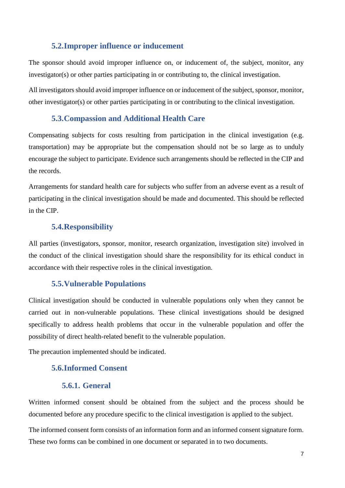#### <span id="page-11-0"></span>**5.2.Improper influence or inducement**

The sponsor should avoid improper influence on, or inducement of, the subject, monitor, any investigator(s) or other parties participating in or contributing to, the clinical investigation.

All investigators should avoid improper influence on or inducement of the subject, sponsor, monitor, other investigator(s) or other parties participating in or contributing to the clinical investigation.

#### <span id="page-11-1"></span>**5.3.Compassion and Additional Health Care**

Compensating subjects for costs resulting from participation in the clinical investigation (e.g. transportation) may be appropriate but the compensation should not be so large as to unduly encourage the subject to participate. Evidence such arrangements should be reflected in the CIP and the records.

Arrangements for standard health care for subjects who suffer from an adverse event as a result of participating in the clinical investigation should be made and documented. This should be reflected in the CIP.

#### <span id="page-11-2"></span>**5.4.Responsibility**

All parties (investigators, sponsor, monitor, research organization, investigation site) involved in the conduct of the clinical investigation should share the responsibility for its ethical conduct in accordance with their respective roles in the clinical investigation.

#### <span id="page-11-3"></span>**5.5.Vulnerable Populations**

Clinical investigation should be conducted in vulnerable populations only when they cannot be carried out in non-vulnerable populations. These clinical investigations should be designed specifically to address health problems that occur in the vulnerable population and offer the possibility of direct health-related benefit to the vulnerable population.

The precaution implemented should be indicated.

#### <span id="page-11-5"></span><span id="page-11-4"></span>**5.6.Informed Consent**

#### **5.6.1. General**

Written informed consent should be obtained from the subject and the process should be documented before any procedure specific to the clinical investigation is applied to the subject.

The informed consent form consists of an information form and an informed consent signature form. These two forms can be combined in one document or separated in to two documents.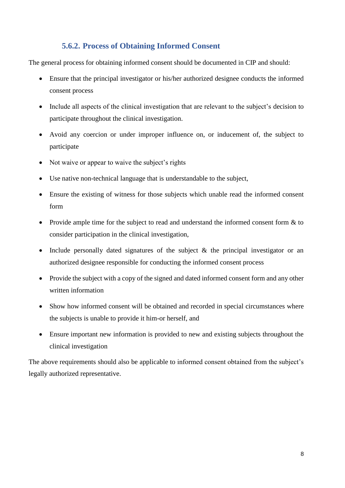# **5.6.2. Process of Obtaining Informed Consent**

<span id="page-12-0"></span>The general process for obtaining informed consent should be documented in CIP and should:

- Ensure that the principal investigator or his/her authorized designee conducts the informed consent process
- Include all aspects of the clinical investigation that are relevant to the subject's decision to participate throughout the clinical investigation.
- Avoid any coercion or under improper influence on, or inducement of, the subject to participate
- Not waive or appear to waive the subject's rights
- Use native non-technical language that is understandable to the subject,
- Ensure the existing of witness for those subjects which unable read the informed consent form
- Provide ample time for the subject to read and understand the informed consent form  $&$  to consider participation in the clinical investigation,
- Include personally dated signatures of the subject  $\&$  the principal investigator or an authorized designee responsible for conducting the informed consent process
- Provide the subject with a copy of the signed and dated informed consent form and any other written information
- Show how informed consent will be obtained and recorded in special circumstances where the subjects is unable to provide it him-or herself, and
- Ensure important new information is provided to new and existing subjects throughout the clinical investigation

The above requirements should also be applicable to informed consent obtained from the subject's legally authorized representative.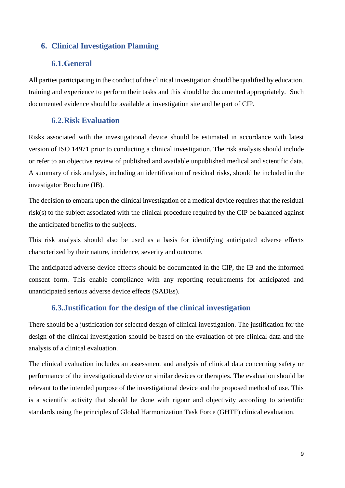# <span id="page-13-0"></span>**6. Clinical Investigation Planning**

#### <span id="page-13-1"></span>**6.1.General**

All parties participating in the conduct of the clinical investigation should be qualified by education, training and experience to perform their tasks and this should be documented appropriately. Such documented evidence should be available at investigation site and be part of CIP.

#### <span id="page-13-2"></span>**6.2.Risk Evaluation**

Risks associated with the investigational device should be estimated in accordance with latest version of ISO 14971 prior to conducting a clinical investigation. The risk analysis should include or refer to an objective review of published and available unpublished medical and scientific data. A summary of risk analysis, including an identification of residual risks, should be included in the investigator Brochure (IB).

The decision to embark upon the clinical investigation of a medical device requires that the residual risk(s) to the subject associated with the clinical procedure required by the CIP be balanced against the anticipated benefits to the subjects.

This risk analysis should also be used as a basis for identifying anticipated adverse effects characterized by their nature, incidence, severity and outcome.

The anticipated adverse device effects should be documented in the CIP, the IB and the informed consent form. This enable compliance with any reporting requirements for anticipated and unanticipated serious adverse device effects (SADEs).

#### <span id="page-13-3"></span>**6.3.Justification for the design of the clinical investigation**

There should be a justification for selected design of clinical investigation. The justification for the design of the clinical investigation should be based on the evaluation of pre-clinical data and the analysis of a clinical evaluation.

The clinical evaluation includes an assessment and analysis of clinical data concerning safety or performance of the investigational device or similar devices or therapies. The evaluation should be relevant to the intended purpose of the investigational device and the proposed method of use. This is a scientific activity that should be done with rigour and objectivity according to scientific standards using the principles of Global Harmonization Task Force (GHTF) clinical evaluation.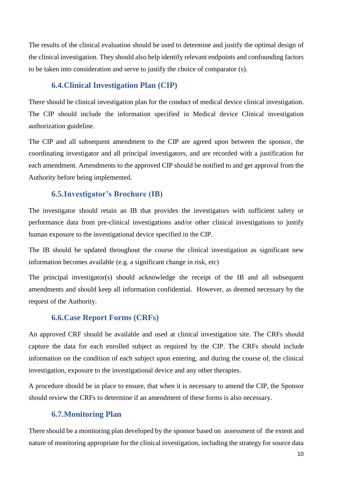The results of the clinical evaluation should be used to determine and justify the optimal design of the clinical investigation. They should also help identify relevant endpoints and confounding factors to be taken into consideration and serve to justify the choice of comparator (s).

# <span id="page-14-0"></span>**6.4.Clinical Investigation Plan (CIP)**

There should be clinical investigation plan for the conduct of medical device clinical investigation. The CIP should include the information specified in Medical device Clinical investigation authorization guideline.

The CIP and all subsequent amendment to the CIP are agreed upon between the sponsor, the coordinating investigator and all principal investigators, and are recorded with a justification for each amendment. Amendments to the approved CIP should be notified to and get approval from the Authority before being implemented.

# <span id="page-14-1"></span>**6.5.Investigator's Brochure (IB)**

The investigator should retain an IB that provides the investigators with sufficient safety or performance data from pre-clinical investigations and/or other clinical investigations to justify human exposure to the investigational device specified in the CIP.

The IB should be updated throughout the course the clinical investigation as significant new information becomes available (e.g. a significant change in risk, etc)

The principal investigator(s) should acknowledge the receipt of the IB and all subsequent amendments and should keep all information confidential. However, as deemed necessary by the request of the Authority.

### <span id="page-14-2"></span>**6.6.Case Report Forms (CRFs)**

An approved CRF should be available and used at clinical investigation site. The CRFs should capture the data for each enrolled subject as required by the CIP. The CRFs should include information on the condition of each subject upon entering, and during the course of, the clinical investigation, exposure to the investigational device and any other therapies.

A procedure should be in place to ensure, that when it is necessary to amend the CIP, the Sponsor should review the CRFs to determine if an amendment of these forms is also necessary.

### <span id="page-14-3"></span>**6.7.Monitoring Plan**

There should be a monitoring plan developed by the sponsor based on assessment of the extent and nature of monitoring appropriate for the clinical investigation, including the strategy for source data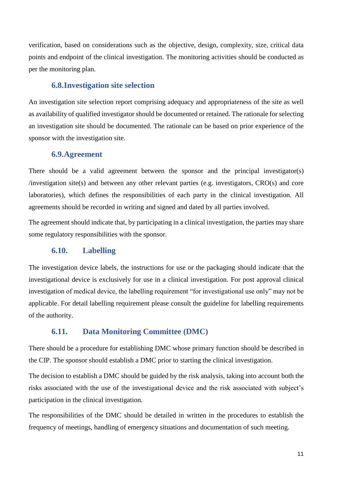verification, based on considerations such as the objective, design, complexity, size, critical data points and endpoint of the clinical investigation. The monitoring activities should be conducted as per the monitoring plan.

#### <span id="page-15-0"></span>**6.8.Investigation site selection**

An investigation site selection report comprising adequacy and appropriateness of the site as well as availability of qualified investigator should be documented or retained. The rationale for selecting an investigation site should be documented. The rationale can be based on prior experience of the sponsor with the investigation site.

#### <span id="page-15-1"></span>**6.9.Agreement**

There should be a valid agreement between the sponsor and the principal investigator(s) /investigation site(s) and between any other relevant parties (e.g. investigators, CRO(s) and core laboratories), which defines the responsibilities of each party in the clinical investigation. All agreements should be recorded in writing and signed and dated by all parties involved.

The agreement should indicate that, by participating in a clinical investigation, the parties may share some regulatory responsibilities with the sponsor.

#### <span id="page-15-2"></span>**6.10. Labelling**

The investigation device labels, the instructions for use or the packaging should indicate that the investigational device is exclusively for use in a clinical investigation. For post approval clinical investigation of medical device, the labelling requirement "for investigational use only" may not be applicable. For detail labelling requirement please consult the guideline for labelling requirements of the authority.

#### <span id="page-15-3"></span>**6.11. Data Monitoring Committee (DMC)**

There should be a procedure for establishing DMC whose primary function should be described in the CIP. The sponsor should establish a DMC prior to starting the clinical investigation.

The decision to establish a DMC should be guided by the risk analysis, taking into account both the risks associated with the use of the investigational device and the risk associated with subject's participation in the clinical investigation.

The responsibilities of the DMC should be detailed in written in the procedures to establish the frequency of meetings, handling of emergency situations and documentation of such meeting.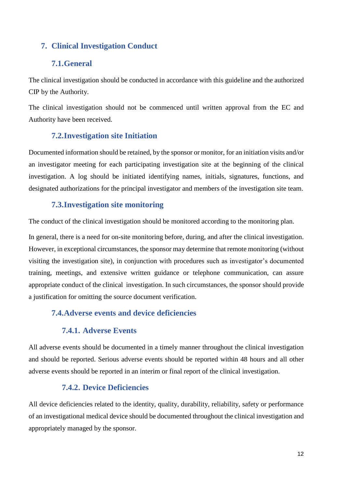# <span id="page-16-0"></span>**7. Clinical Investigation Conduct**

# <span id="page-16-1"></span>**7.1.General**

The clinical investigation should be conducted in accordance with this guideline and the authorized CIP by the Authority.

The clinical investigation should not be commenced until written approval from the EC and Authority have been received.

# <span id="page-16-2"></span>**7.2.Investigation site Initiation**

Documented information should be retained, by the sponsor or monitor, for an initiation visits and/or an investigator meeting for each participating investigation site at the beginning of the clinical investigation. A log should be initiated identifying names, initials, signatures, functions, and designated authorizations for the principal investigator and members of the investigation site team.

# <span id="page-16-3"></span>**7.3.Investigation site monitoring**

The conduct of the clinical investigation should be monitored according to the monitoring plan.

In general, there is a need for on-site monitoring before, during, and after the clinical investigation. However, in exceptional circumstances, the sponsor may determine that remote monitoring (without visiting the investigation site), in conjunction with procedures such as investigator's documented training, meetings, and extensive written guidance or telephone communication, can assure appropriate conduct of the clinical investigation. In such circumstances, the sponsor should provide a justification for omitting the source document verification.

# <span id="page-16-5"></span><span id="page-16-4"></span>**7.4.Adverse events and device deficiencies**

# **7.4.1. Adverse Events**

All adverse events should be documented in a timely manner throughout the clinical investigation and should be reported. Serious adverse events should be reported within 48 hours and all other adverse events should be reported in an interim or final report of the clinical investigation.

# **7.4.2. Device Deficiencies**

<span id="page-16-6"></span>All device deficiencies related to the identity, quality, durability, reliability, safety or performance of an investigational medical device should be documented throughout the clinical investigation and appropriately managed by the sponsor.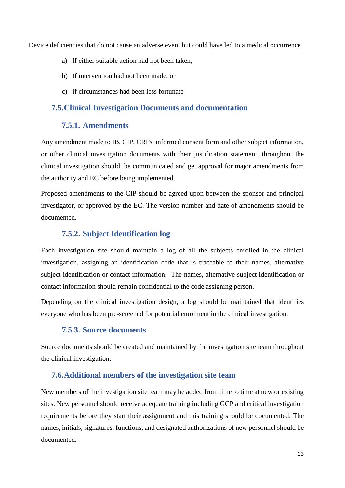Device deficiencies that do not cause an adverse event but could have led to a medical occurrence

- a) If either suitable action had not been taken,
- b) If intervention had not been made, or
- c) If circumstances had been less fortunate

#### <span id="page-17-0"></span>**7.5.Clinical Investigation Documents and documentation**

#### **7.5.1. Amendments**

<span id="page-17-1"></span>Any amendment made to IB, CIP, CRFs, informed consent form and other subject information, or other clinical investigation documents with their justification statement, throughout the clinical investigation should be communicated and get approval for major amendments from the authority and EC before being implemented.

Proposed amendments to the CIP should be agreed upon between the sponsor and principal investigator, or approved by the EC. The version number and date of amendments should be documented.

### **7.5.2. Subject Identification log**

<span id="page-17-2"></span>Each investigation site should maintain a log of all the subjects enrolled in the clinical investigation, assigning an identification code that is traceable to their names, alternative subject identification or contact information. The names, alternative subject identification or contact information should remain confidential to the code assigning person.

Depending on the clinical investigation design, a log should be maintained that identifies everyone who has been pre-screened for potential enrolment in the clinical investigation.

# **7.5.3. Source documents**

<span id="page-17-3"></span>Source documents should be created and maintained by the investigation site team throughout the clinical investigation.

#### <span id="page-17-4"></span>**7.6.Additional members of the investigation site team**

New members of the investigation site team may be added from time to time at new or existing sites. New personnel should receive adequate training including GCP and critical investigation requirements before they start their assignment and this training should be documented. The names, initials, signatures, functions, and designated authorizations of new personnel should be documented.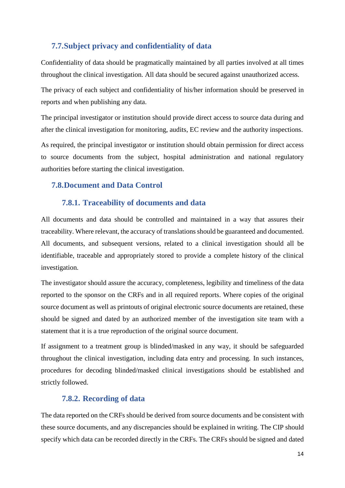# <span id="page-18-0"></span>**7.7.Subject privacy and confidentiality of data**

Confidentiality of data should be pragmatically maintained by all parties involved at all times throughout the clinical investigation. All data should be secured against unauthorized access.

The privacy of each subject and confidentiality of his/her information should be preserved in reports and when publishing any data.

The principal investigator or institution should provide direct access to source data during and after the clinical investigation for monitoring, audits, EC review and the authority inspections.

As required, the principal investigator or institution should obtain permission for direct access to source documents from the subject, hospital administration and national regulatory authorities before starting the clinical investigation.

#### <span id="page-18-1"></span>**7.8.Document and Data Control**

#### **7.8.1. Traceability of documents and data**

<span id="page-18-2"></span>All documents and data should be controlled and maintained in a way that assures their traceability. Where relevant, the accuracy of translations should be guaranteed and documented. All documents, and subsequent versions, related to a clinical investigation should all be identifiable, traceable and appropriately stored to provide a complete history of the clinical investigation.

The investigator should assure the accuracy, completeness, legibility and timeliness of the data reported to the sponsor on the CRFs and in all required reports. Where copies of the original source document as well as printouts of original electronic source documents are retained, these should be signed and dated by an authorized member of the investigation site team with a statement that it is a true reproduction of the original source document.

If assignment to a treatment group is blinded/masked in any way, it should be safeguarded throughout the clinical investigation, including data entry and processing. In such instances, procedures for decoding blinded/masked clinical investigations should be established and strictly followed.

#### **7.8.2. Recording of data**

<span id="page-18-3"></span>The data reported on the CRFs should be derived from source documents and be consistent with these source documents, and any discrepancies should be explained in writing. The CIP should specify which data can be recorded directly in the CRFs. The CRFs should be signed and dated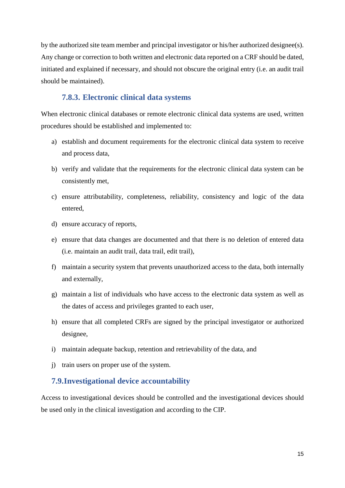by the authorized site team member and principal investigator or his/her authorized designee(s). Any change or correction to both written and electronic data reported on a CRF should be dated, initiated and explained if necessary, and should not obscure the original entry (i.e. an audit trail should be maintained).

# **7.8.3. Electronic clinical data systems**

<span id="page-19-0"></span>When electronic clinical databases or remote electronic clinical data systems are used, written procedures should be established and implemented to:

- a) establish and document requirements for the electronic clinical data system to receive and process data,
- b) verify and validate that the requirements for the electronic clinical data system can be consistently met,
- c) ensure attributability, completeness, reliability, consistency and logic of the data entered,
- d) ensure accuracy of reports,
- e) ensure that data changes are documented and that there is no deletion of entered data (i.e. maintain an audit trail, data trail, edit trail),
- f) maintain a security system that prevents unauthorized access to the data, both internally and externally,
- g) maintain a list of individuals who have access to the electronic data system as well as the dates of access and privileges granted to each user,
- h) ensure that all completed CRFs are signed by the principal investigator or authorized designee,
- i) maintain adequate backup, retention and retrievability of the data, and
- j) train users on proper use of the system.

### <span id="page-19-1"></span>**7.9.Investigational device accountability**

Access to investigational devices should be controlled and the investigational devices should be used only in the clinical investigation and according to the CIP.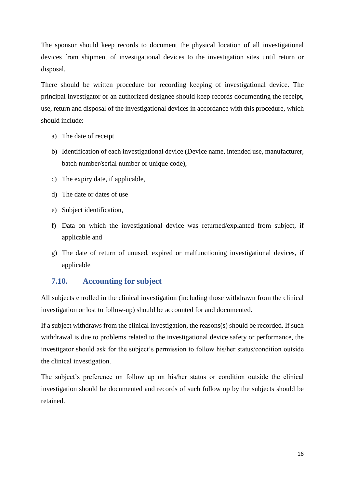The sponsor should keep records to document the physical location of all investigational devices from shipment of investigational devices to the investigation sites until return or disposal.

There should be written procedure for recording keeping of investigational device. The principal investigator or an authorized designee should keep records documenting the receipt, use, return and disposal of the investigational devices in accordance with this procedure, which should include:

- a) The date of receipt
- b) Identification of each investigational device (Device name, intended use, manufacturer, batch number/serial number or unique code),
- c) The expiry date, if applicable,
- d) The date or dates of use
- e) Subject identification,
- f) Data on which the investigational device was returned/explanted from subject, if applicable and
- g) The date of return of unused, expired or malfunctioning investigational devices, if applicable

#### <span id="page-20-0"></span>**7.10. Accounting for subject**

All subjects enrolled in the clinical investigation (including those withdrawn from the clinical investigation or lost to follow-up) should be accounted for and documented.

If a subject withdraws from the clinical investigation, the reasons(s) should be recorded. If such withdrawal is due to problems related to the investigational device safety or performance, the investigator should ask for the subject's permission to follow his/her status/condition outside the clinical investigation.

The subject's preference on follow up on his/her status or condition outside the clinical investigation should be documented and records of such follow up by the subjects should be retained.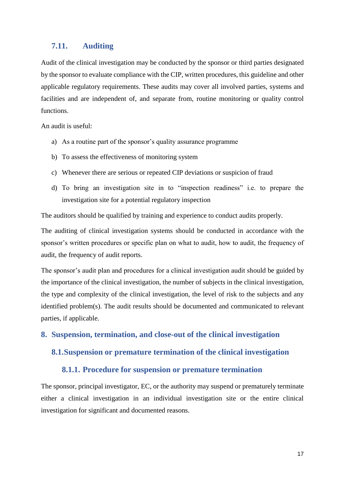#### <span id="page-21-0"></span>**7.11. Auditing**

Audit of the clinical investigation may be conducted by the sponsor or third parties designated by the sponsor to evaluate compliance with the CIP, written procedures, this guideline and other applicable regulatory requirements. These audits may cover all involved parties, systems and facilities and are independent of, and separate from, routine monitoring or quality control functions.

An audit is useful:

- a) As a routine part of the sponsor's quality assurance programme
- b) To assess the effectiveness of monitoring system
- c) Whenever there are serious or repeated CIP deviations or suspicion of fraud
- d) To bring an investigation site in to "inspection readiness" i.e. to prepare the investigation site for a potential regulatory inspection

The auditors should be qualified by training and experience to conduct audits properly.

The auditing of clinical investigation systems should be conducted in accordance with the sponsor's written procedures or specific plan on what to audit, how to audit, the frequency of audit, the frequency of audit reports.

The sponsor's audit plan and procedures for a clinical investigation audit should be guided by the importance of the clinical investigation, the number of subjects in the clinical investigation, the type and complexity of the clinical investigation, the level of risk to the subjects and any identified problem(s). The audit results should be documented and communicated to relevant parties, if applicable.

<span id="page-21-1"></span>**8. Suspension, termination, and close-out of the clinical investigation**

#### <span id="page-21-2"></span>**8.1.Suspension or premature termination of the clinical investigation**

#### **8.1.1. Procedure for suspension or premature termination**

<span id="page-21-3"></span>The sponsor, principal investigator, EC, or the authority may suspend or prematurely terminate either a clinical investigation in an individual investigation site or the entire clinical investigation for significant and documented reasons.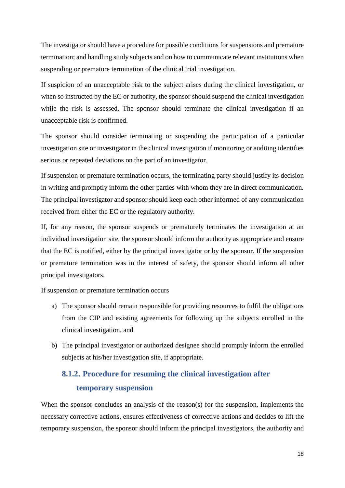The investigator should have a procedure for possible conditions for suspensions and premature termination; and handling study subjects and on how to communicate relevant institutions when suspending or premature termination of the clinical trial investigation.

If suspicion of an unacceptable risk to the subject arises during the clinical investigation, or when so instructed by the EC or authority, the sponsor should suspend the clinical investigation while the risk is assessed. The sponsor should terminate the clinical investigation if an unacceptable risk is confirmed.

The sponsor should consider terminating or suspending the participation of a particular investigation site or investigator in the clinical investigation if monitoring or auditing identifies serious or repeated deviations on the part of an investigator.

If suspension or premature termination occurs, the terminating party should justify its decision in writing and promptly inform the other parties with whom they are in direct communication. The principal investigator and sponsor should keep each other informed of any communication received from either the EC or the regulatory authority.

If, for any reason, the sponsor suspends or prematurely terminates the investigation at an individual investigation site, the sponsor should inform the authority as appropriate and ensure that the EC is notified, either by the principal investigator or by the sponsor. If the suspension or premature termination was in the interest of safety, the sponsor should inform all other principal investigators.

If suspension or premature termination occurs

- a) The sponsor should remain responsible for providing resources to fulfil the obligations from the CIP and existing agreements for following up the subjects enrolled in the clinical investigation, and
- b) The principal investigator or authorized designee should promptly inform the enrolled subjects at his/her investigation site, if appropriate.

# <span id="page-22-0"></span>**8.1.2. Procedure for resuming the clinical investigation after temporary suspension**

When the sponsor concludes an analysis of the reason(s) for the suspension, implements the necessary corrective actions, ensures effectiveness of corrective actions and decides to lift the temporary suspension, the sponsor should inform the principal investigators, the authority and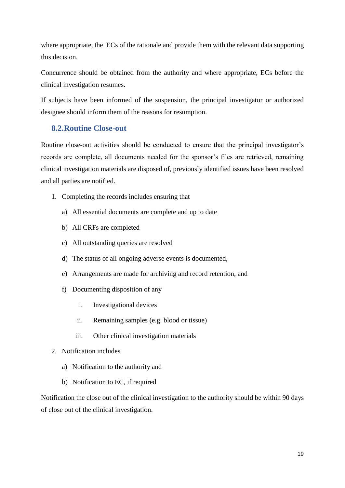where appropriate, the ECs of the rationale and provide them with the relevant data supporting this decision.

Concurrence should be obtained from the authority and where appropriate, ECs before the clinical investigation resumes.

If subjects have been informed of the suspension, the principal investigator or authorized designee should inform them of the reasons for resumption.

### <span id="page-23-0"></span>**8.2.Routine Close-out**

Routine close-out activities should be conducted to ensure that the principal investigator's records are complete, all documents needed for the sponsor's files are retrieved, remaining clinical investigation materials are disposed of, previously identified issues have been resolved and all parties are notified.

- 1. Completing the records includes ensuring that
	- a) All essential documents are complete and up to date
	- b) All CRFs are completed
	- c) All outstanding queries are resolved
	- d) The status of all ongoing adverse events is documented,
	- e) Arrangements are made for archiving and record retention, and
	- f) Documenting disposition of any
		- i. Investigational devices
		- ii. Remaining samples (e.g. blood or tissue)
		- iii. Other clinical investigation materials
- 2. Notification includes
	- a) Notification to the authority and
	- b) Notification to EC, if required

Notification the close out of the clinical investigation to the authority should be within 90 days of close out of the clinical investigation.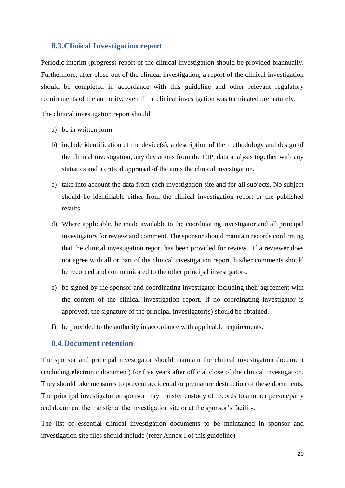#### <span id="page-24-0"></span>**8.3.Clinical Investigation report**

Periodic interim (progress) report of the clinical investigation should be provided biannually. Furthermore, after close-out of the clinical investigation, a report of the clinical investigation should be completed in accordance with this guideline and other relevant regulatory requirements of the authority, even if the clinical investigation was terminated prematurely.

The clinical investigation report should

- a) be in written form
- b) include identification of the device(s), a description of the methodology and design of the clinical investigation, any deviations from the CIP, data analysis together with any statistics and a critical appraisal of the aims the clinical investigation.
- c) take into account the data from each investigation site and for all subjects. No subject should be identifiable either from the clinical investigation report or the published results.
- d) Where applicable, be made available to the coordinating investigator and all principal investigators for review and comment. The sponsor should maintain records confirming that the clinical investigation report has been provided for review. If a reviewer does not agree with all or part of the clinical investigation report, his/her comments should be recorded and communicated to the other principal investigators.
- e) be signed by the sponsor and coordinating investigator including their agreement with the content of the clinical investigation report. If no coordinating investigator is approved, the signature of the principal investigator(s) should be obtained.
- f) be provided to the authority in accordance with applicable requirements.

#### <span id="page-24-1"></span>**8.4.Document retention**

The sponsor and principal investigator should maintain the clinical investigation document (including electronic document) for five years after official close of the clinical investigation. They should take measures to prevent accidental or premature destruction of these documents. The principal investigator or sponsor may transfer custody of records to another person/party and document the transfer at the investigation site or at the sponsor's facility.

The list of essential clinical investigation documents to be maintained in sponsor and investigation site files should include (refer Annex I of this guideline)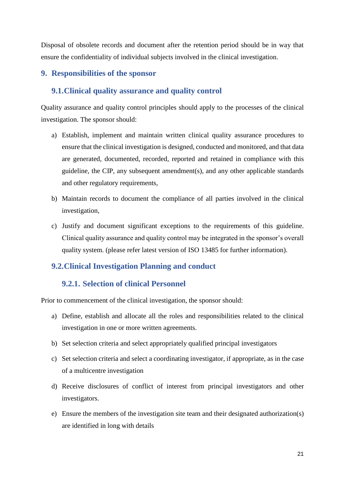Disposal of obsolete records and document after the retention period should be in way that ensure the confidentiality of individual subjects involved in the clinical investigation.

# <span id="page-25-0"></span>**9. Responsibilities of the sponsor**

# <span id="page-25-1"></span>**9.1.Clinical quality assurance and quality control**

Quality assurance and quality control principles should apply to the processes of the clinical investigation. The sponsor should:

- a) Establish, implement and maintain written clinical quality assurance procedures to ensure that the clinical investigation is designed, conducted and monitored, and that data are generated, documented, recorded, reported and retained in compliance with this guideline, the CIP, any subsequent amendment(s), and any other applicable standards and other regulatory requirements,
- b) Maintain records to document the compliance of all parties involved in the clinical investigation,
- c) Justify and document significant exceptions to the requirements of this guideline. Clinical quality assurance and quality control may be integrated in the sponsor's overall quality system. (please refer latest version of ISO 13485 for further information).

### <span id="page-25-2"></span>**9.2.Clinical Investigation Planning and conduct**

### **9.2.1. Selection of clinical Personnel**

<span id="page-25-3"></span>Prior to commencement of the clinical investigation, the sponsor should:

- a) Define, establish and allocate all the roles and responsibilities related to the clinical investigation in one or more written agreements.
- b) Set selection criteria and select appropriately qualified principal investigators
- c) Set selection criteria and select a coordinating investigator, if appropriate, as in the case of a multicentre investigation
- d) Receive disclosures of conflict of interest from principal investigators and other investigators.
- e) Ensure the members of the investigation site team and their designated authorization(s) are identified in long with details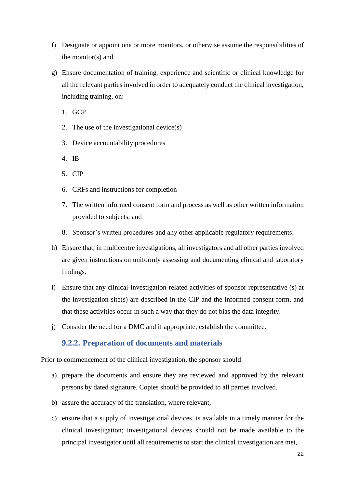- f) Designate or appoint one or more monitors, or otherwise assume the responsibilities of the monitor(s) and
- g) Ensure documentation of training, experience and scientific or clinical knowledge for all the relevant parties involved in order to adequately conduct the clinical investigation, including training, on:
	- 1. GCP
	- 2. The use of the investigational device(s)
	- 3. Device accountability procedures
	- 4. IB
	- 5. CIP
	- 6. CRFs and instructions for completion
	- 7. The written informed consent form and process as well as other written information provided to subjects, and
	- 8. Sponsor's written procedures and any other applicable regulatory requirements.
- h) Ensure that, in multicentre investigations, all investigators and all other parties involved are given instructions on uniformly assessing and documenting clinical and laboratory findings.
- i) Ensure that any clinical-investigation-related activities of sponsor representative (s) at the investigation site(s) are described in the CIP and the informed consent form, and that these activities occur in such a way that they do not bias the data integrity.
- j) Consider the need for a DMC and if appropriate, establish the committee.

#### **9.2.2. Preparation of documents and materials**

<span id="page-26-0"></span>Prior to commencement of the clinical investigation, the sponsor should

- a) prepare the documents and ensure they are reviewed and approved by the relevant persons by dated signature. Copies should be provided to all parties involved.
- b) assure the accuracy of the translation, where relevant,
- c) ensure that a supply of investigational devices, is available in a timely manner for the clinical investigation; investigational devices should not be made available to the principal investigator until all requirements to start the clinical investigation are met,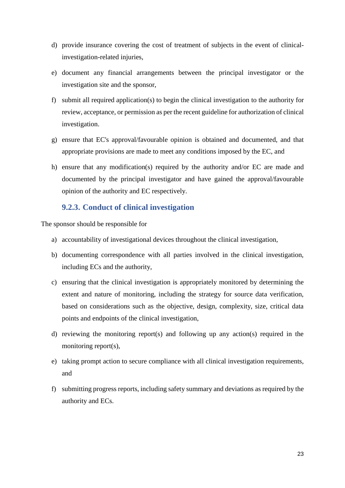- d) provide insurance covering the cost of treatment of subjects in the event of clinicalinvestigation-related injuries,
- e) document any financial arrangements between the principal investigator or the investigation site and the sponsor,
- f) submit all required application(s) to begin the clinical investigation to the authority for review, acceptance, or permission as per the recent guideline for authorization of clinical investigation.
- g) ensure that EC's approval/favourable opinion is obtained and documented, and that appropriate provisions are made to meet any conditions imposed by the EC, and
- h) ensure that any modification(s) required by the authority and/or EC are made and documented by the principal investigator and have gained the approval/favourable opinion of the authority and EC respectively.

# **9.2.3. Conduct of clinical investigation**

<span id="page-27-0"></span>The sponsor should be responsible for

- a) accountability of investigational devices throughout the clinical investigation,
- b) documenting correspondence with all parties involved in the clinical investigation, including ECs and the authority,
- c) ensuring that the clinical investigation is appropriately monitored by determining the extent and nature of monitoring, including the strategy for source data verification, based on considerations such as the objective, design, complexity, size, critical data points and endpoints of the clinical investigation,
- d) reviewing the monitoring report(s) and following up any action(s) required in the monitoring report(s),
- e) taking prompt action to secure compliance with all clinical investigation requirements, and
- f) submitting progress reports, including safety summary and deviations as required by the authority and ECs.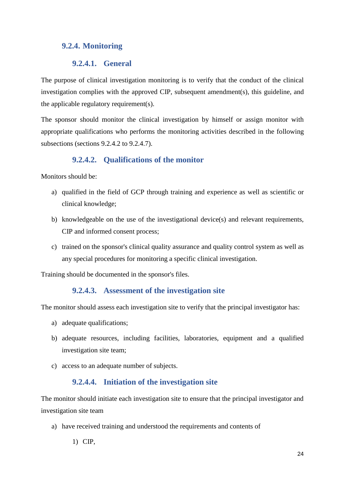# <span id="page-28-0"></span>**9.2.4. Monitoring**

### **9.2.4.1. General**

<span id="page-28-1"></span>The purpose of clinical investigation monitoring is to verify that the conduct of the clinical investigation complies with the approved CIP, subsequent amendment(s), this guideline, and the applicable regulatory requirement(s).

The sponsor should monitor the clinical investigation by himself or assign monitor with appropriate qualifications who performs the monitoring activities described in the following subsections (sections 9.2.4.2 to 9.2.4.7).

# **9.2.4.2. Qualifications of the monitor**

<span id="page-28-2"></span>Monitors should be:

- a) qualified in the field of GCP through training and experience as well as scientific or clinical knowledge;
- b) knowledgeable on the use of the investigational device(s) and relevant requirements, CIP and informed consent process;
- c) trained on the sponsor's clinical quality assurance and quality control system as well as any special procedures for monitoring a specific clinical investigation.

<span id="page-28-3"></span>Training should be documented in the sponsor's files.

### **9.2.4.3. Assessment of the investigation site**

The monitor should assess each investigation site to verify that the principal investigator has:

- a) adequate qualifications;
- b) adequate resources, including facilities, laboratories, equipment and a qualified investigation site team;
- c) access to an adequate number of subjects.

### **9.2.4.4. Initiation of the investigation site**

<span id="page-28-4"></span>The monitor should initiate each investigation site to ensure that the principal investigator and investigation site team

a) have received training and understood the requirements and contents of

1) CIP,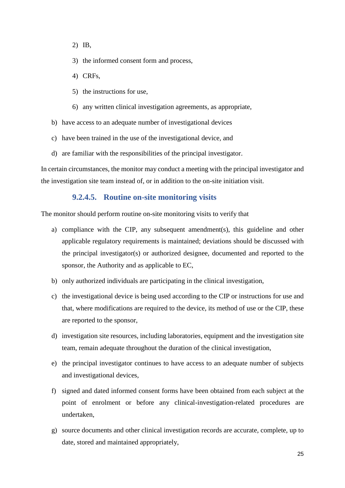- 2) IB,
- 3) the informed consent form and process,
- 4) CRFs,
- 5) the instructions for use,
- 6) any written clinical investigation agreements, as appropriate,
- b) have access to an adequate number of investigational devices
- c) have been trained in the use of the investigational device, and
- d) are familiar with the responsibilities of the principal investigator.

In certain circumstances, the monitor may conduct a meeting with the principal investigator and the investigation site team instead of, or in addition to the on-site initiation visit.

#### **9.2.4.5. Routine on-site monitoring visits**

<span id="page-29-0"></span>The monitor should perform routine on-site monitoring visits to verify that

- a) compliance with the CIP, any subsequent amendment(s), this guideline and other applicable regulatory requirements is maintained; deviations should be discussed with the principal investigator(s) or authorized designee, documented and reported to the sponsor, the Authority and as applicable to EC,
- b) only authorized individuals are participating in the clinical investigation,
- c) the investigational device is being used according to the CIP or instructions for use and that, where modifications are required to the device, its method of use or the CIP, these are reported to the sponsor,
- d) investigation site resources, including laboratories, equipment and the investigation site team, remain adequate throughout the duration of the clinical investigation,
- e) the principal investigator continues to have access to an adequate number of subjects and investigational devices,
- f) signed and dated informed consent forms have been obtained from each subject at the point of enrolment or before any clinical-investigation-related procedures are undertaken,
- g) source documents and other clinical investigation records are accurate, complete, up to date, stored and maintained appropriately,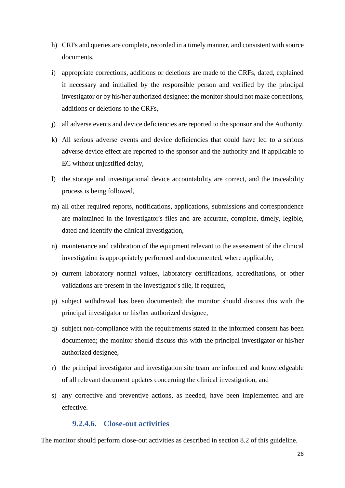- h) CRFs and queries are complete, recorded in a timely manner, and consistent with source documents,
- i) appropriate corrections, additions or deletions are made to the CRFs, dated, explained if necessary and initialled by the responsible person and verified by the principal investigator or by his/her authorized designee; the monitor should not make corrections, additions or deletions to the CRFs,
- j) all adverse events and device deficiencies are reported to the sponsor and the Authority.
- k) All serious adverse events and device deficiencies that could have led to a serious adverse device effect are reported to the sponsor and the authority and if applicable to EC without unjustified delay,
- l) the storage and investigational device accountability are correct, and the traceability process is being followed,
- m) all other required reports, notifications, applications, submissions and correspondence are maintained in the investigator's files and are accurate, complete, timely, legible, dated and identify the clinical investigation,
- n) maintenance and calibration of the equipment relevant to the assessment of the clinical investigation is appropriately performed and documented, where applicable,
- o) current laboratory normal values, laboratory certifications, accreditations, or other validations are present in the investigator's file, if required,
- p) subject withdrawal has been documented; the monitor should discuss this with the principal investigator or his/her authorized designee,
- q) subject non-compliance with the requirements stated in the informed consent has been documented; the monitor should discuss this with the principal investigator or his/her authorized designee,
- r) the principal investigator and investigation site team are informed and knowledgeable of all relevant document updates concerning the clinical investigation, and
- s) any corrective and preventive actions, as needed, have been implemented and are effective.

#### **9.2.4.6. Close-out activities**

<span id="page-30-0"></span>The monitor should perform close-out activities as described in section 8.2 of this guideline.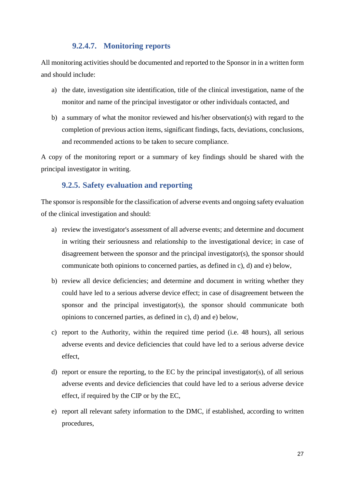#### **9.2.4.7. Monitoring reports**

<span id="page-31-0"></span>All monitoring activities should be documented and reported to the Sponsor in in a written form and should include:

- a) the date, investigation site identification, title of the clinical investigation, name of the monitor and name of the principal investigator or other individuals contacted, and
- b) a summary of what the monitor reviewed and his/her observation(s) with regard to the completion of previous action items, significant findings, facts, deviations, conclusions, and recommended actions to be taken to secure compliance.

A copy of the monitoring report or a summary of key findings should be shared with the principal investigator in writing.

#### **9.2.5. Safety evaluation and reporting**

<span id="page-31-1"></span>The sponsor is responsible for the classification of adverse events and ongoing safety evaluation of the clinical investigation and should:

- a) review the investigator's assessment of all adverse events; and determine and document in writing their seriousness and relationship to the investigational device; in case of disagreement between the sponsor and the principal investigator(s), the sponsor should communicate both opinions to concerned parties, as defined in c), d) and e) below,
- b) review all device deficiencies; and determine and document in writing whether they could have led to a serious adverse device effect; in case of disagreement between the sponsor and the principal investigator(s), the sponsor should communicate both opinions to concerned parties, as defined in c), d) and e) below,
- c) report to the Authority, within the required time period (i.e. 48 hours), all serious adverse events and device deficiencies that could have led to a serious adverse device effect,
- d) report or ensure the reporting, to the EC by the principal investigator(s), of all serious adverse events and device deficiencies that could have led to a serious adverse device effect, if required by the CIP or by the EC,
- e) report all relevant safety information to the DMC, if established, according to written procedures,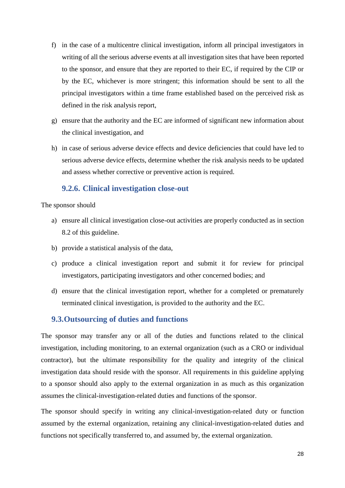- f) in the case of a multicentre clinical investigation, inform all principal investigators in writing of all the serious adverse events at all investigation sites that have been reported to the sponsor, and ensure that they are reported to their EC, if required by the CIP or by the EC, whichever is more stringent; this information should be sent to all the principal investigators within a time frame established based on the perceived risk as defined in the risk analysis report,
- g) ensure that the authority and the EC are informed of significant new information about the clinical investigation, and
- h) in case of serious adverse device effects and device deficiencies that could have led to serious adverse device effects, determine whether the risk analysis needs to be updated and assess whether corrective or preventive action is required.

### **9.2.6. Clinical investigation close-out**

<span id="page-32-0"></span>The sponsor should

- a) ensure all clinical investigation close-out activities are properly conducted as in section 8.2 of this guideline.
- b) provide a statistical analysis of the data,
- c) produce a clinical investigation report and submit it for review for principal investigators, participating investigators and other concerned bodies; and
- d) ensure that the clinical investigation report, whether for a completed or prematurely terminated clinical investigation, is provided to the authority and the EC.

### <span id="page-32-1"></span>**9.3.Outsourcing of duties and functions**

The sponsor may transfer any or all of the duties and functions related to the clinical investigation, including monitoring, to an external organization (such as a CRO or individual contractor), but the ultimate responsibility for the quality and integrity of the clinical investigation data should reside with the sponsor. All requirements in this guideline applying to a sponsor should also apply to the external organization in as much as this organization assumes the clinical-investigation-related duties and functions of the sponsor.

The sponsor should specify in writing any clinical-investigation-related duty or function assumed by the external organization, retaining any clinical-investigation-related duties and functions not specifically transferred to, and assumed by, the external organization.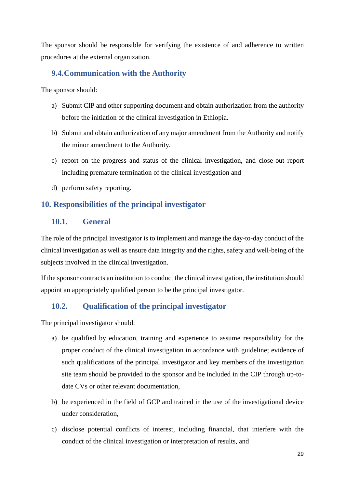The sponsor should be responsible for verifying the existence of and adherence to written procedures at the external organization.

# <span id="page-33-0"></span>**9.4.Communication with the Authority**

The sponsor should:

- a) Submit CIP and other supporting document and obtain authorization from the authority before the initiation of the clinical investigation in Ethiopia.
- b) Submit and obtain authorization of any major amendment from the Authority and notify the minor amendment to the Authority.
- c) report on the progress and status of the clinical investigation, and close-out report including premature termination of the clinical investigation and
- d) perform safety reporting.

# <span id="page-33-1"></span>**10. Responsibilities of the principal investigator**

### <span id="page-33-2"></span>**10.1. General**

The role of the principal investigator is to implement and manage the day-to-day conduct of the clinical investigation as well as ensure data integrity and the rights, safety and well-being of the subjects involved in the clinical investigation.

If the sponsor contracts an institution to conduct the clinical investigation, the institution should appoint an appropriately qualified person to be the principal investigator.

# <span id="page-33-3"></span>**10.2. Qualification of the principal investigator**

The principal investigator should:

- a) be qualified by education, training and experience to assume responsibility for the proper conduct of the clinical investigation in accordance with guideline; evidence of such qualifications of the principal investigator and key members of the investigation site team should be provided to the sponsor and be included in the CIP through up-todate CVs or other relevant documentation,
- b) be experienced in the field of GCP and trained in the use of the investigational device under consideration,
- c) disclose potential conflicts of interest, including financial, that interfere with the conduct of the clinical investigation or interpretation of results, and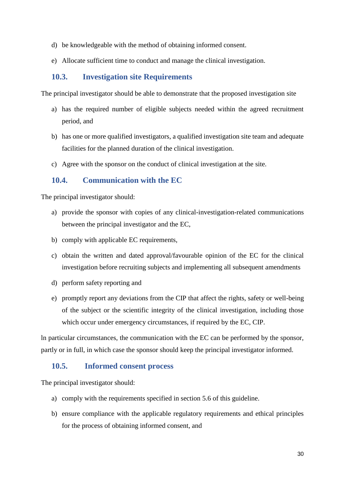- d) be knowledgeable with the method of obtaining informed consent.
- e) Allocate sufficient time to conduct and manage the clinical investigation.

# <span id="page-34-0"></span>**10.3. Investigation site Requirements**

The principal investigator should be able to demonstrate that the proposed investigation site

- a) has the required number of eligible subjects needed within the agreed recruitment period, and
- b) has one or more qualified investigators, a qualified investigation site team and adequate facilities for the planned duration of the clinical investigation.
- c) Agree with the sponsor on the conduct of clinical investigation at the site.

### <span id="page-34-1"></span>**10.4. Communication with the EC**

The principal investigator should:

- a) provide the sponsor with copies of any clinical-investigation-related communications between the principal investigator and the EC,
- b) comply with applicable EC requirements,
- c) obtain the written and dated approval/favourable opinion of the EC for the clinical investigation before recruiting subjects and implementing all subsequent amendments
- d) perform safety reporting and
- e) promptly report any deviations from the CIP that affect the rights, safety or well-being of the subject or the scientific integrity of the clinical investigation, including those which occur under emergency circumstances, if required by the EC, CIP.

ln particular circumstances, the communication with the EC can be performed by the sponsor, partly or in full, in which case the sponsor should keep the principal investigator informed.

#### <span id="page-34-2"></span>**10.5. Informed consent process**

The principal investigator should:

- a) comply with the requirements specified in section 5.6 of this guideline.
- b) ensure compliance with the applicable regulatory requirements and ethical principles for the process of obtaining informed consent, and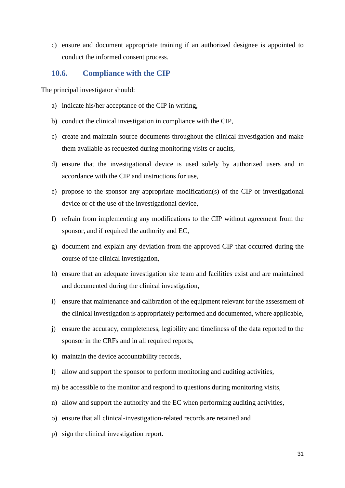c) ensure and document appropriate training if an authorized designee is appointed to conduct the informed consent process.

#### <span id="page-35-0"></span>**10.6. Compliance with the CIP**

The principal investigator should:

- a) indicate his/her acceptance of the CIP in writing,
- b) conduct the clinical investigation in compliance with the CIP,
- c) create and maintain source documents throughout the clinical investigation and make them available as requested during monitoring visits or audits,
- d) ensure that the investigational device is used solely by authorized users and in accordance with the CIP and instructions for use,
- e) propose to the sponsor any appropriate modification(s) of the CIP or investigational device or of the use of the investigational device,
- f) refrain from implementing any modifications to the CIP without agreement from the sponsor, and if required the authority and EC,
- g) document and explain any deviation from the approved CIP that occurred during the course of the clinical investigation,
- h) ensure that an adequate investigation site team and facilities exist and are maintained and documented during the clinical investigation,
- i) ensure that maintenance and calibration of the equipment relevant for the assessment of the clinical investigation is appropriately performed and documented, where applicable,
- j) ensure the accuracy, completeness, legibility and timeliness of the data reported to the sponsor in the CRFs and in all required reports,
- k) maintain the device accountability records,
- l) allow and support the sponsor to perform monitoring and auditing activities,
- m) be accessible to the monitor and respond to questions during monitoring visits,
- n) allow and support the authority and the EC when performing auditing activities,
- o) ensure that all clinical-investigation-related records are retained and
- p) sign the clinical investigation report.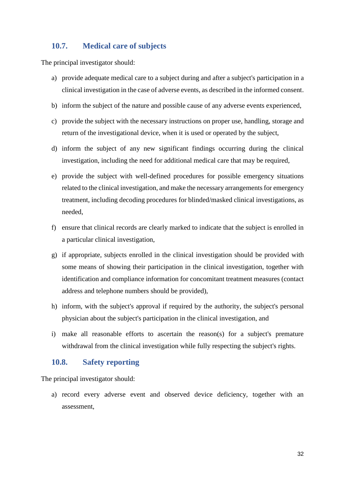# <span id="page-36-0"></span>**10.7. Medical care of subjects**

The principal investigator should:

- a) provide adequate medical care to a subject during and after a subject's participation in a clinical investigation in the case of adverse events, as described in the informed consent.
- b) inform the subject of the nature and possible cause of any adverse events experienced,
- c) provide the subject with the necessary instructions on proper use, handling, storage and return of the investigational device, when it is used or operated by the subject,
- d) inform the subject of any new significant findings occurring during the clinical investigation, including the need for additional medical care that may be required,
- e) provide the subject with well-defined procedures for possible emergency situations related to the clinical investigation, and make the necessary arrangements for emergency treatment, including decoding procedures for blinded/masked clinical investigations, as needed,
- f) ensure that clinical records are clearly marked to indicate that the subject is enrolled in a particular clinical investigation,
- g) if appropriate, subjects enrolled in the clinical investigation should be provided with some means of showing their participation in the clinical investigation, together with identification and compliance information for concomitant treatment measures (contact address and telephone numbers should be provided),
- h) inform, with the subject's approval if required by the authority, the subject's personal physician about the subject's participation in the clinical investigation, and
- i) make all reasonable efforts to ascertain the reason(s) for a subject's premature withdrawal from the clinical investigation while fully respecting the subject's rights.

#### <span id="page-36-1"></span>**10.8. Safety reporting**

The principal investigator should:

a) record every adverse event and observed device deficiency, together with an assessment,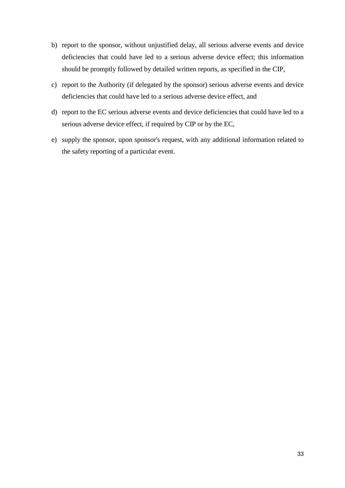- b) report to the sponsor, without unjustified delay, all serious adverse events and device deficiencies that could have led to a serious adverse device effect; this information should be promptly followed by detailed written reports, as specified in the CIP,
- c) report to the Authority (if delegated by the sponsor) serious adverse events and device deficiencies that could have led to a serious adverse device effect, and
- d) report to the EC serious adverse events and device deficiencies that could have led to a serious adverse device effect, if required by CIP or by the EC,
- e) supply the sponsor, upon sponsor's request, with any additional information related to the safety reporting of a particular event.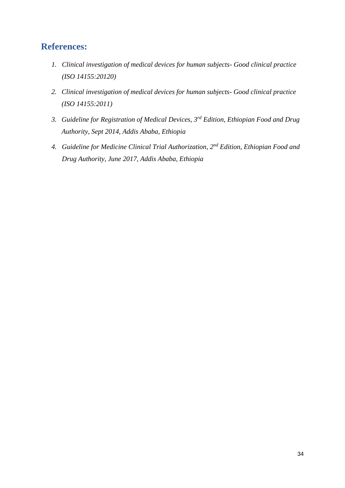# <span id="page-38-0"></span>**References:**

- *1. Clinical investigation of medical devices for human subjects- Good clinical practice (ISO 14155:20120)*
- *2. Clinical investigation of medical devices for human subjects- Good clinical practice (ISO 14155:2011)*
- *3. Guideline for Registration of Medical Devices, 3rd Edition, Ethiopian Food and Drug Authority, Sept 2014, Addis Ababa, Ethiopia*
- *4. Guideline for Medicine Clinical Trial Authorization, 2nd Edition, Ethiopian Food and Drug Authority, June 2017, Addis Ababa, Ethiopia*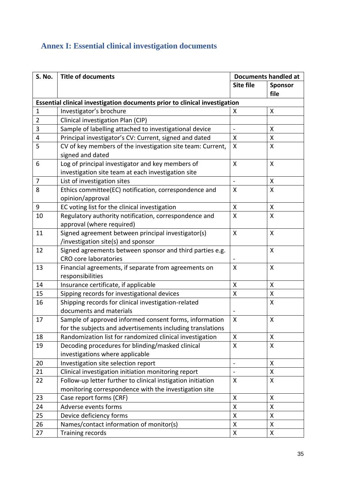# <span id="page-39-0"></span>**Annex I: Essential clinical investigation documents**

| S. No.                                                                     | <b>Title of documents</b>                                   |                          | <b>Documents handled at</b> |  |
|----------------------------------------------------------------------------|-------------------------------------------------------------|--------------------------|-----------------------------|--|
|                                                                            |                                                             | Site file                | Sponsor                     |  |
|                                                                            |                                                             |                          | file                        |  |
| Essential clinical investigation documents prior to clinical investigation |                                                             |                          |                             |  |
| 1                                                                          | Investigator's brochure                                     | X                        | X                           |  |
| $\overline{2}$                                                             | Clinical investigation Plan (CIP)                           |                          |                             |  |
| 3                                                                          | Sample of labelling attached to investigational device      | $\blacksquare$           | X                           |  |
| $\overline{\mathbf{4}}$                                                    | Principal investigator's CV: Current, signed and dated      | $\pmb{\mathsf{X}}$       | $\pmb{\mathsf{X}}$          |  |
| 5                                                                          | CV of key members of the investigation site team: Current,  | X                        | X                           |  |
|                                                                            | signed and dated                                            |                          |                             |  |
| 6                                                                          | Log of principal investigator and key members of            | X                        | $\boldsymbol{\mathsf{X}}$   |  |
|                                                                            | investigation site team at each investigation site          |                          |                             |  |
| $\overline{7}$                                                             | List of investigation sites                                 | $\overline{\phantom{a}}$ | X                           |  |
| 8                                                                          | Ethics committee(EC) notification, correspondence and       | X                        | $\mathsf{X}$                |  |
|                                                                            | opinion/approval                                            |                          |                             |  |
| $\boldsymbol{9}$                                                           | EC voting list for the clinical investigation               | X                        | $\pmb{\mathsf{X}}$          |  |
| 10                                                                         | Regulatory authority notification, correspondence and       | X                        | X                           |  |
|                                                                            | approval (where required)                                   |                          |                             |  |
| 11                                                                         | Signed agreement between principal investigator(s)          | X                        | X                           |  |
|                                                                            | /investigation site(s) and sponsor                          |                          |                             |  |
| 12                                                                         | Signed agreements between sponsor and third parties e.g.    |                          | $\boldsymbol{\mathsf{X}}$   |  |
|                                                                            | <b>CRO</b> core laboratories                                |                          |                             |  |
| 13                                                                         | Financial agreements, if separate from agreements on        | X                        | X                           |  |
|                                                                            | responsibilities                                            |                          |                             |  |
| 14                                                                         | Insurance certificate, if applicable                        | X                        | X                           |  |
| 15                                                                         | Sipping records for investigational devices                 | $\pmb{\mathsf{X}}$       | $\pmb{\mathsf{X}}$          |  |
| 16                                                                         | Shipping records for clinical investigation-related         |                          | X                           |  |
|                                                                            | documents and materials                                     |                          |                             |  |
| 17                                                                         | Sample of approved informed consent forms, information      | X                        | X                           |  |
|                                                                            | for the subjects and advertisements including translations  |                          |                             |  |
| 18                                                                         | Randomization list for randomized clinical investigation    | X                        | X                           |  |
| 19                                                                         | Decoding procedures for blinding/masked clinical            | $\mathsf{X}$             | $\mathsf{X}$                |  |
|                                                                            | investigations where applicable                             |                          |                             |  |
| 20                                                                         | Investigation site selection report                         | $\overline{a}$           | $\mathsf{X}$                |  |
| 21                                                                         | Clinical investigation initiation monitoring report         | $\overline{a}$           | X                           |  |
| 22                                                                         | Follow-up letter further to clinical instigation initiation | X                        | $\boldsymbol{\mathsf{X}}$   |  |
|                                                                            | monitoring correspondence with the investigation site       |                          |                             |  |
| 23                                                                         | Case report forms (CRF)                                     | X                        | X                           |  |
| 24                                                                         | Adverse events forms                                        | X                        | X                           |  |
| 25                                                                         | Device deficiency forms                                     | $\pmb{\mathsf{X}}$       | $\pmb{\mathsf{X}}$          |  |
| 26                                                                         | Names/contact information of monitor(s)                     | $\pmb{\mathsf{X}}$       | X                           |  |
| 27                                                                         | <b>Training records</b>                                     | $\pmb{\mathsf{X}}$       | $\pmb{\mathsf{X}}$          |  |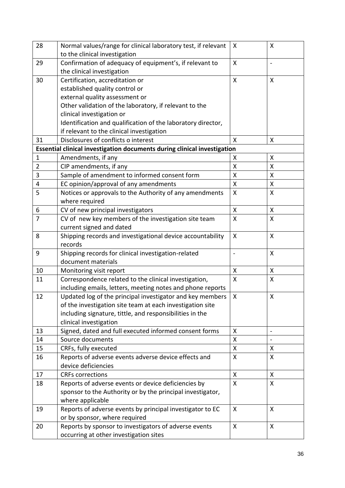| 28             | Normal values/range for clinical laboratory test, if relevant            | X            | X                         |
|----------------|--------------------------------------------------------------------------|--------------|---------------------------|
|                | to the clinical investigation                                            |              |                           |
| 29             | Confirmation of adequacy of equipment's, if relevant to                  | X            | $\overline{\phantom{a}}$  |
|                | the clinical investigation                                               |              |                           |
| 30             | Certification, accreditation or                                          | X            | $\boldsymbol{\mathsf{X}}$ |
|                | established quality control or                                           |              |                           |
|                | external quality assessment or                                           |              |                           |
|                | Other validation of the laboratory, if relevant to the                   |              |                           |
|                | clinical investigation or                                                |              |                           |
|                | Identification and qualification of the laboratory director,             |              |                           |
|                | if relevant to the clinical investigation                                |              |                           |
| 31             | Disclosures of conflicts o interest                                      | $\mathsf{x}$ | X                         |
|                | Essential clinical investigation documents during clinical investigation |              |                           |
| $\mathbf 1$    | Amendments, if any                                                       | X            | $\boldsymbol{\mathsf{X}}$ |
| $\overline{2}$ | CIP amendments, if any                                                   | Χ            | X                         |
| 3              | Sample of amendment to informed consent form                             | Χ            | X                         |
| 4              | EC opinion/approval of any amendments                                    | Χ            | $\pmb{\mathsf{X}}$        |
| 5              | Notices or approvals to the Authority of any amendments                  | $\mathsf{X}$ | X                         |
|                | where required                                                           |              |                           |
| 6              | CV of new principal investigators                                        | $\mathsf{X}$ | X                         |
| $\overline{7}$ | CV of new key members of the investigation site team                     | $\mathsf{X}$ | X                         |
|                | current signed and dated                                                 |              |                           |
| 8              | Shipping records and investigational device accountability               | $\mathsf{X}$ | $\mathsf{X}$              |
|                | records                                                                  |              |                           |
| 9              | Shipping records for clinical investigation-related                      |              | X                         |
|                | document materials                                                       |              |                           |
| 10             | Monitoring visit report                                                  | X            | X                         |
| 11             | Correspondence related to the clinical investigation,                    | X            | X                         |
|                | including emails, letters, meeting notes and phone reports               |              |                           |
| 12             | Updated log of the principal investigator and key members                | Χ            | X                         |
|                | of the investigation site team at each investigation site                |              |                           |
|                | including signature, tittle, and responsibilities in the                 |              |                           |
|                | clinical investigation                                                   |              |                           |
| 13             | Signed, dated and full executed informed consent forms                   | X            | $\overline{\phantom{a}}$  |
| 14             | Source documents                                                         | Χ            |                           |
| 15             | CRFs, fully executed                                                     | X            | X                         |
| 16             | Reports of adverse events adverse device effects and                     | Χ            | X                         |
|                | device deficiencies                                                      |              |                           |
| 17             | <b>CRFs corrections</b>                                                  | X            | X                         |
| 18             | Reports of adverse events or device deficiencies by                      | X            | X                         |
|                | sponsor to the Authority or by the principal investigator,               |              |                           |
|                | where applicable                                                         |              |                           |
| 19             | Reports of adverse events by principal investigator to EC                | $\mathsf{X}$ | $\mathsf{X}$              |
|                | or by sponsor, where required                                            |              |                           |
| 20             | Reports by sponsor to investigators of adverse events                    | X            | X                         |
|                | occurring at other investigation sites                                   |              |                           |